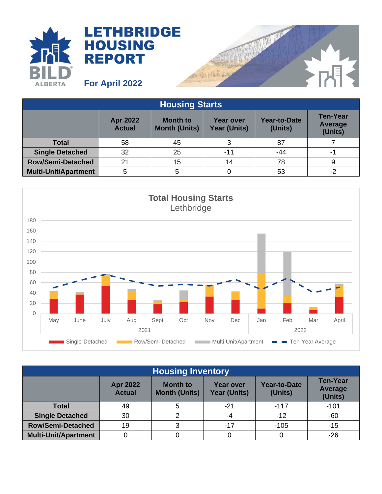

## **LETHBRIDGE HOUSING REPORT**

**For April 2022**



| <b>Housing Starts</b>       |                                  |                                         |                                         |                                |                                       |  |
|-----------------------------|----------------------------------|-----------------------------------------|-----------------------------------------|--------------------------------|---------------------------------------|--|
|                             | <b>Apr 2022</b><br><b>Actual</b> | <b>Month to</b><br><b>Month (Units)</b> | <b>Year over</b><br><b>Year (Units)</b> | <b>Year-to-Date</b><br>(Units) | <b>Ten-Year</b><br>Average<br>(Units) |  |
| <b>Total</b>                | 58                               | 45                                      |                                         | 87                             |                                       |  |
| <b>Single Detached</b>      | 32                               | 25                                      | -11                                     | -44                            |                                       |  |
| <b>Row/Semi-Detached</b>    | 21                               | 15                                      | 14                                      | 78                             |                                       |  |
| <b>Multi-Unit/Apartment</b> | 5                                | 5                                       |                                         | 53                             |                                       |  |



| <b>Housing Inventory</b>    |                                  |                                         |                                         |                                |                                       |  |
|-----------------------------|----------------------------------|-----------------------------------------|-----------------------------------------|--------------------------------|---------------------------------------|--|
|                             | <b>Apr 2022</b><br><b>Actual</b> | <b>Month to</b><br><b>Month (Units)</b> | <b>Year over</b><br><b>Year (Units)</b> | <b>Year-to-Date</b><br>(Units) | <b>Ten-Year</b><br>Average<br>(Units) |  |
| Total                       | 49                               | 5                                       | -21                                     | $-117$                         | $-101$                                |  |
| <b>Single Detached</b>      | 30                               |                                         | -4                                      | $-12$                          | $-60$                                 |  |
| <b>Row/Semi-Detached</b>    | 19                               | З                                       | -17                                     | $-105$                         | $-15$                                 |  |
| <b>Multi-Unit/Apartment</b> |                                  |                                         |                                         |                                | $-26$                                 |  |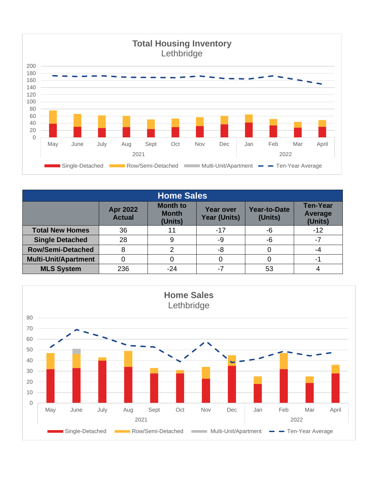

| <b>Home Sales</b>           |                           |                                            |                                         |                                |                                       |  |
|-----------------------------|---------------------------|--------------------------------------------|-----------------------------------------|--------------------------------|---------------------------------------|--|
|                             | Apr 2022<br><b>Actual</b> | <b>Month to</b><br><b>Month</b><br>(Units) | <b>Year over</b><br><b>Year (Units)</b> | <b>Year-to-Date</b><br>(Units) | <b>Ten-Year</b><br>Average<br>(Units) |  |
| <b>Total New Homes</b>      | 36                        |                                            | $-17$                                   | -6                             | $-12$                                 |  |
| <b>Single Detached</b>      | 28                        | 9                                          | -9                                      | -6                             | -7                                    |  |
| <b>Row/Semi-Detached</b>    | 8                         | າ                                          | -8                                      |                                | -4                                    |  |
| <b>Multi-Unit/Apartment</b> |                           |                                            |                                         |                                | ÷                                     |  |
| <b>MLS System</b>           | 236                       | $-24$                                      | $-7$                                    | 53                             |                                       |  |